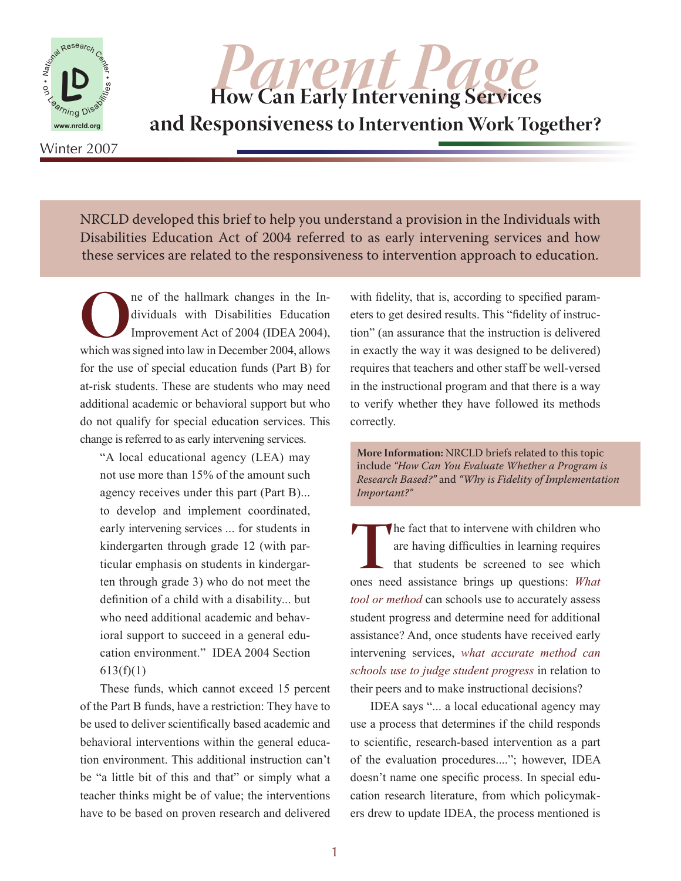

**Parent Page**<br>
How Can Early Intervening Services **and Responsiveness to Intervention Work Together?**

Winter 2007

NRCLD developed this brief to help you understand a provision in the Individuals with Disabilities Education Act of 2004 referred to as early intervening services and how these services are related to the responsiveness to intervention approach to education.

**O**ne of the hallmark changes in the Individuals with Disabilities Education Improvement Act of 2004 (IDEA 2004), which was signed into law in December 2004, allows dividuals with Disabilities Education Improvement Act of 2004 (IDEA 2004), for the use of special education funds (Part B) for at-risk students. These are students who may need additional academic or behavioral support but who do not qualify for special education services. This change is referred to as early intervening services.

"A local educational agency (LEA) may not use more than 15% of the amount such agency receives under this part (Part B)... to develop and implement coordinated, early intervening services ... for students in kindergarten through grade 12 (with particular emphasis on students in kindergarten through grade 3) who do not meet the definition of a child with a disability... but who need additional academic and behavioral support to succeed in a general education environment." IDEA 2004 Section  $613(f)(1)$ 

These funds, which cannot exceed 15 percent of the Part B funds, have a restriction: They have to be used to deliver scientifically based academic and behavioral interventions within the general education environment. This additional instruction can't be "a little bit of this and that" or simply what a teacher thinks might be of value; the interventions have to be based on proven research and delivered with fidelity, that is, according to specified parameters to get desired results. This "fidelity of instruction" (an assurance that the instruction is delivered in exactly the way it was designed to be delivered) requires that teachers and other staff be well-versed in the instructional program and that there is a way to verify whether they have followed its methods correctly.

**More Information:** NRCLD briefs related to this topic include *"How Can You Evaluate Whether a Program is Research Based?"* and *"Why is Fidelity of Implementation Important?"*

The fact that to intervene with children who are having difficulties in learning requires that students be screened to see which ones need assistance brings up questions: *What* are having difficulties in learning requires that students be screened to see which *tool or method* can schools use to accurately assess student progress and determine need for additional assistance? And, once students have received early intervening services, *what accurate method can schools use to judge student progress* in relation to their peers and to make instructional decisions?

IDEA says "... a local educational agency may use a process that determines if the child responds to scientific, research-based intervention as a part of the evaluation procedures...."; however, IDEA doesn't name one specific process. In special education research literature, from which policymakers drew to update IDEA, the process mentioned is